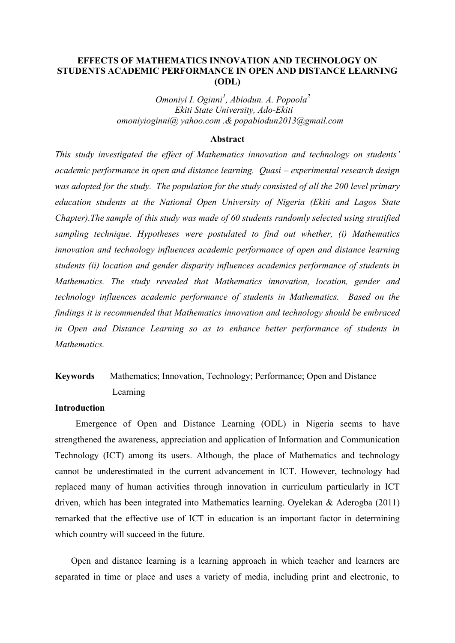# **EFFECTS OF MATHEMATICS INNOVATION AND TECHNOLOGY ON STUDENTS ACADEMIC PERFORMANCE IN OPEN AND DISTANCE LEARNING (ODL)**

*Omoniyi I. Oginni<sup>1</sup> , Abiodun. A. Popoola<sup>2</sup> Ekiti State University, Ado-Ekiti omoniyioginni@ yahoo.com .& popabiodun2013@gmail.com*

#### **Abstract**

*This study investigated the effect of Mathematics innovation and technology on students' academic performance in open and distance learning. Quasi – experimental research design was adopted for the study. The population for the study consisted of all the 200 level primary education students at the National Open University of Nigeria (Ekiti and Lagos State Chapter).The sample of this study was made of 60 students randomly selected using stratified sampling technique. Hypotheses were postulated to find out whether, (i) Mathematics innovation and technology influences academic performance of open and distance learning students (ii) location and gender disparity influences academics performance of students in Mathematics. The study revealed that Mathematics innovation, location, gender and technology influences academic performance of students in Mathematics. Based on the findings it is recommended that Mathematics innovation and technology should be embraced in Open and Distance Learning so as to enhance better performance of students in Mathematics.*

# **Keywords** Mathematics; Innovation, Technology; Performance; Open and Distance Learning

# **Introduction**

Emergence of Open and Distance Learning (ODL) in Nigeria seems to have strengthened the awareness, appreciation and application of Information and Communication Technology (ICT) among its users. Although, the place of Mathematics and technology cannot be underestimated in the current advancement in ICT. However, technology had replaced many of human activities through innovation in curriculum particularly in ICT driven, which has been integrated into Mathematics learning. Oyelekan & Aderogba (2011) remarked that the effective use of ICT in education is an important factor in determining which country will succeed in the future.

Open and distance learning is a learning approach in which teacher and learners are separated in time or place and uses a variety of media, including print and electronic, to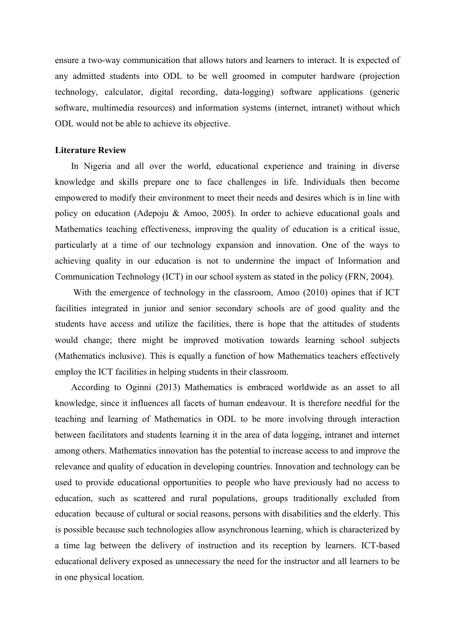ensure a two-way communication that allows tutors and learners to interact. It is expected of any admitted students into ODL to be well groomed in computer hardware (projection technology, calculator, digital recording, data-logging) software applications (generic software, multimedia resources) and information systems (internet, intranet) without which ODL would not be able to achieve its objective.

#### **Literature Review**

In Nigeria and all over the world, educational experience and training in diverse knowledge and skills prepare one to face challenges in life. Individuals then become empowered to modify their environment to meet their needs and desires which is in line with policy on education (Adepoju & Amoo, 2005). In order to achieve educational goals and Mathematics teaching effectiveness, improving the quality of education is a critical issue, particularly at a time of our technology expansion and innovation. One of the ways to achieving quality in our education is not to undermine the impact of Information and Communication Technology (ICT) in our school system as stated in the policy (FRN, 2004).

With the emergence of technology in the classroom, Amoo (2010) opines that if ICT facilities integrated in junior and senior secondary schools are of good quality and the students have access and utilize the facilities, there is hope that the attitudes of students would change; there might be improved motivation towards learning school subjects (Mathematics inclusive). This is equally a function of how Mathematics teachers effectively employ the ICT facilities in helping students in their classroom.

According to Oginni (2013) Mathematics is embraced worldwide as an asset to all knowledge, since it influences all facets of human endeavour. It is therefore needful for the teaching and learning of Mathematics in ODL to be more involving through interaction between facilitators and students learning it in the area of data logging, intranet and internet among others. Mathematics innovation has the potential to increase access to and improve the relevance and quality of education in developing countries. Innovation and technology can be used to provide educational opportunities to people who have previously had no access to education, such as scattered and rural populations, groups traditionally excluded from education because of cultural or social reasons, persons with disabilities and the elderly. This is possible because such technologies allow asynchronous learning, which is characterized by a time lag between the delivery of instruction and its reception by learners. ICT-based educational delivery exposed as unnecessary the need for the instructor and all learners to be in one physical location.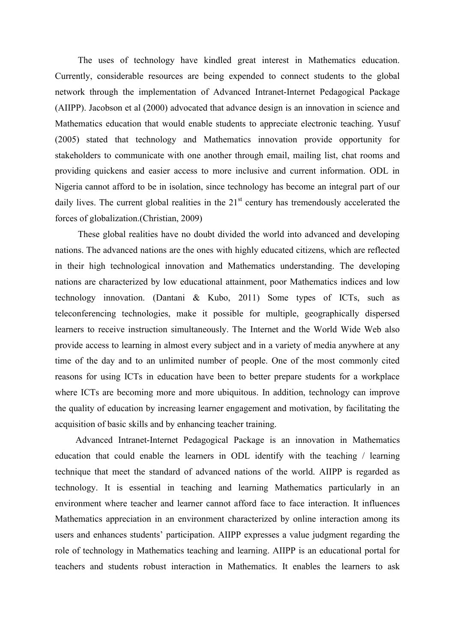The uses of technology have kindled great interest in Mathematics education. Currently, considerable resources are being expended to connect students to the global network through the implementation of Advanced Intranet-Internet Pedagogical Package (AIIPP). Jacobson et al (2000) advocated that advance design is an innovation in science and Mathematics education that would enable students to appreciate electronic teaching. Yusuf (2005) stated that technology and Mathematics innovation provide opportunity for stakeholders to communicate with one another through email, mailing list, chat rooms and providing quickens and easier access to more inclusive and current information. ODL in Nigeria cannot afford to be in isolation, since technology has become an integral part of our daily lives. The current global realities in the  $21<sup>st</sup>$  century has tremendously accelerated the forces of globalization.(Christian, 2009)

These global realities have no doubt divided the world into advanced and developing nations. The advanced nations are the ones with highly educated citizens, which are reflected in their high technological innovation and Mathematics understanding. The developing nations are characterized by low educational attainment, poor Mathematics indices and low technology innovation. (Dantani & Kubo, 2011) Some types of ICTs, such as teleconferencing technologies, make it possible for multiple, geographically dispersed learners to receive instruction simultaneously. The Internet and the World Wide Web also provide access to learning in almost every subject and in a variety of media anywhere at any time of the day and to an unlimited number of people. One of the most commonly cited reasons for using ICTs in education have been to better prepare students for a workplace where ICTs are becoming more and more ubiquitous. In addition, technology can improve the quality of education by increasing learner engagement and motivation, by facilitating the acquisition of basic skills and by enhancing teacher training.

Advanced Intranet-Internet Pedagogical Package is an innovation in Mathematics education that could enable the learners in ODL identify with the teaching / learning technique that meet the standard of advanced nations of the world. AIIPP is regarded as technology. It is essential in teaching and learning Mathematics particularly in an environment where teacher and learner cannot afford face to face interaction. It influences Mathematics appreciation in an environment characterized by online interaction among its users and enhances students' participation. AIIPP expresses a value judgment regarding the role of technology in Mathematics teaching and learning. AIIPP is an educational portal for teachers and students robust interaction in Mathematics. It enables the learners to ask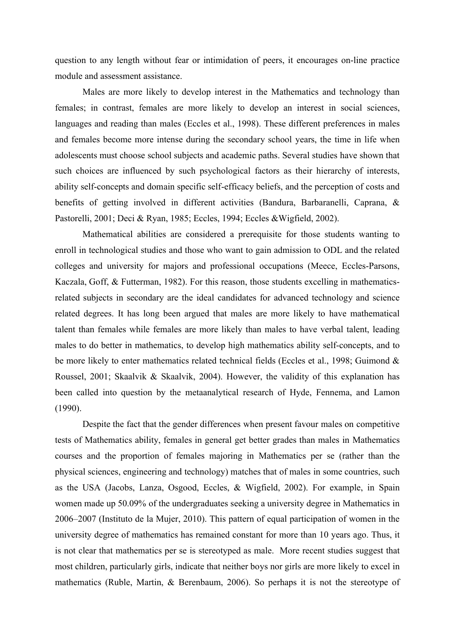question to any length without fear or intimidation of peers, it encourages on-line practice module and assessment assistance.

Males are more likely to develop interest in the Mathematics and technology than females; in contrast, females are more likely to develop an interest in social sciences, languages and reading than males (Eccles et al., 1998). These different preferences in males and females become more intense during the secondary school years, the time in life when adolescents must choose school subjects and academic paths. Several studies have shown that such choices are influenced by such psychological factors as their hierarchy of interests, ability self-concepts and domain specific self-efficacy beliefs, and the perception of costs and benefits of getting involved in different activities (Bandura, Barbaranelli, Caprana, & Pastorelli, 2001; Deci & Ryan, 1985; Eccles, 1994; Eccles &Wigfield, 2002).

Mathematical abilities are considered a prerequisite for those students wanting to enroll in technological studies and those who want to gain admission to ODL and the related colleges and university for majors and professional occupations (Meece, Eccles-Parsons, Kaczala, Goff, & Futterman, 1982). For this reason, those students excelling in mathematicsrelated subjects in secondary are the ideal candidates for advanced technology and science related degrees. It has long been argued that males are more likely to have mathematical talent than females while females are more likely than males to have verbal talent, leading males to do better in mathematics, to develop high mathematics ability self-concepts, and to be more likely to enter mathematics related technical fields (Eccles et al., 1998; Guimond & Roussel, 2001; Skaalvik & Skaalvik, 2004). However, the validity of this explanation has been called into question by the metaanalytical research of Hyde, Fennema, and Lamon (1990).

Despite the fact that the gender differences when present favour males on competitive tests of Mathematics ability, females in general get better grades than males in Mathematics courses and the proportion of females majoring in Mathematics per se (rather than the physical sciences, engineering and technology) matches that of males in some countries, such as the USA (Jacobs, Lanza, Osgood, Eccles, & Wigfield, 2002). For example, in Spain women made up 50.09% of the undergraduates seeking a university degree in Mathematics in 2006–2007 (Instituto de la Mujer, 2010). This pattern of equal participation of women in the university degree of mathematics has remained constant for more than 10 years ago. Thus, it is not clear that mathematics per se is stereotyped as male. More recent studies suggest that most children, particularly girls, indicate that neither boys nor girls are more likely to excel in mathematics (Ruble, Martin, & Berenbaum, 2006). So perhaps it is not the stereotype of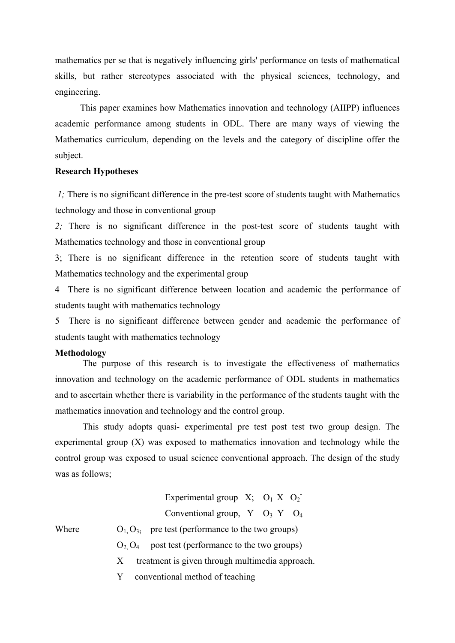mathematics per se that is negatively influencing girls' performance on tests of mathematical skills, but rather stereotypes associated with the physical sciences, technology, and engineering.

This paper examines how Mathematics innovation and technology (AIIPP) influences academic performance among students in ODL. There are many ways of viewing the Mathematics curriculum, depending on the levels and the category of discipline offer the subject.

#### **Research Hypotheses**

*1;* There is no significant difference in the pre-test score of students taught with Mathematics technology and those in conventional group

*2;* There is no significant difference in the post-test score of students taught with Mathematics technology and those in conventional group

3; There is no significant difference in the retention score of students taught with Mathematics technology and the experimental group

4 There is no significant difference between location and academic the performance of students taught with mathematics technology

5 There is no significant difference between gender and academic the performance of students taught with mathematics technology

#### **Methodology**

The purpose of this research is to investigate the effectiveness of mathematics innovation and technology on the academic performance of ODL students in mathematics and to ascertain whether there is variability in the performance of the students taught with the mathematics innovation and technology and the control group.

This study adopts quasi- experimental pre test post test two group design. The experimental group (X) was exposed to mathematics innovation and technology while the control group was exposed to usual science conventional approach. The design of the study was as follows;

# Experimental group  $X$ ;  $O_1 X O_2$ <sup>-</sup>

Conventional group,  $Y$  O<sub>3</sub> Y O<sub>4</sub>

- Where  $O_1$ ,  $O_3$ ; pre test (performance to the two groups)
	- $O_2$ ,  $O_4$  post test (performance to the two groups)
	- X treatment is given through multimedia approach.
	- Y conventional method of teaching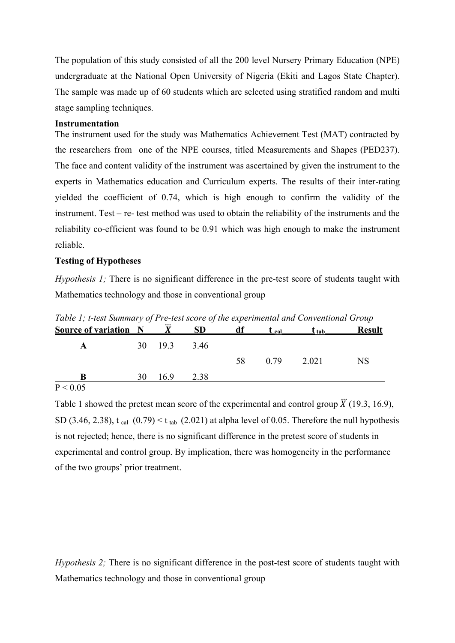The population of this study consisted of all the 200 level Nursery Primary Education (NPE) undergraduate at the National Open University of Nigeria (Ekiti and Lagos State Chapter). The sample was made up of 60 students which are selected using stratified random and multi stage sampling techniques.

#### **Instrumentation**

The instrument used for the study was Mathematics Achievement Test (MAT) contracted by the researchers from one of the NPE courses, titled Measurements and Shapes (PED237). The face and content validity of the instrument was ascertained by given the instrument to the experts in Mathematics education and Curriculum experts. The results of their inter-rating yielded the coefficient of 0.74, which is high enough to confirm the validity of the instrument. Test – re- test method was used to obtain the reliability of the instruments and the reliability co-efficient was found to be 0.91 which was high enough to make the instrument reliable.

#### **Testing of Hypotheses**

*Hypothesis 1;* There is no significant difference in the pre-test score of students taught with Mathematics technology and those in conventional group

| Tubic 1, i icsi summary of 1 rc icsi score of the experimental and conventional Group<br><b>Source of variation</b> N |    |              | <b>SD</b> | df | $t_{cal}$ | $\mathbf{I}$ tab | <b>Result</b> |
|-----------------------------------------------------------------------------------------------------------------------|----|--------------|-----------|----|-----------|------------------|---------------|
| A                                                                                                                     |    | 30 19.3 3.46 |           |    |           |                  |               |
|                                                                                                                       |    |              |           | 58 | 0.79      | 2.021            | <b>NS</b>     |
| B                                                                                                                     | 30 | 169          | 2.38      |    |           |                  |               |
| $P \rightarrow Q \cap T$                                                                                              |    |              |           |    |           |                  |               |

*Table 1; t-test Summary of Pre-test score of the experimental and Conventional Group*

 $P < 0.05$ 

Table 1 showed the pretest mean score of the experimental and control group  $\ddot{X}$  (19.3, 16.9), SD (3.46, 2.38), t cal  $(0.79) < t$  tab (2.021) at alpha level of 0.05. Therefore the null hypothesis is not rejected; hence, there is no significant difference in the pretest score of students in experimental and control group. By implication, there was homogeneity in the performance of the two groups' prior treatment.

*Hypothesis 2;* There is no significant difference in the post-test score of students taught with Mathematics technology and those in conventional group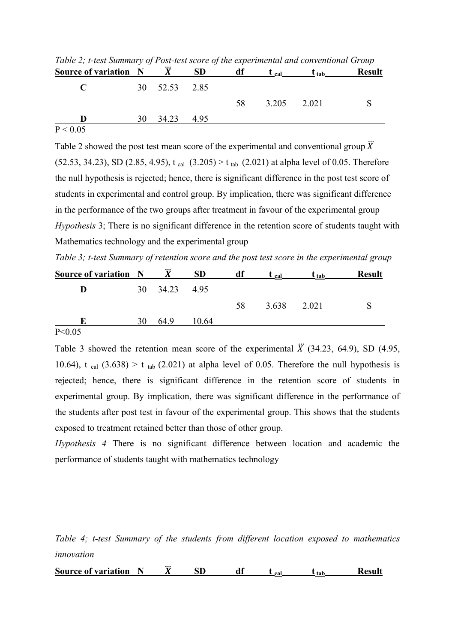| <b>Source of variation N</b> |    |               | <b>SD</b> | df | $t_{cal}$ | $\mathbf{I}_{\text{ tab}}$ | <b>Result</b> |
|------------------------------|----|---------------|-----------|----|-----------|----------------------------|---------------|
|                              |    | 30 52.53 2.85 |           |    |           |                            |               |
|                              |    |               |           | 58 | 3.205     | 2.021                      |               |
| - D-                         | 30 | 34.23         | - 495     |    |           |                            |               |
| P < 0.05                     |    |               |           |    |           |                            |               |

*Table 2; t-test Summary of Post-test score of the experimental and conventional Group*

Table 2 showed the post test mean score of the experimental and conventional group  $\ddot{X}$  $(52.53, 34.23)$ , SD  $(2.85, 4.95)$ , t cal  $(3.205) > t$  tab  $(2.021)$  at alpha level of 0.05. Therefore the null hypothesis is rejected; hence, there is significant difference in the post test score of students in experimental and control group. By implication, there was significant difference in the performance of the two groups after treatment in favour of the experimental group *Hypothesis* 3; There is no significant difference in the retention score of students taught with Mathematics technology and the experimental group

*Table 3; t-test Summary of retention score and the post test score in the experimental group*

| Source of variation N |    |       | <b>SD</b> | df | $L_{cal}$ | $\underline{\mathbf{t}}$ tab | <b>Result</b> |
|-----------------------|----|-------|-----------|----|-----------|------------------------------|---------------|
| D                     | 30 | 34.23 | 4.95      |    |           |                              |               |
|                       |    |       |           | 58 | 3.638     | 2.021                        |               |
|                       | 30 | 649   | 10.64     |    |           |                              |               |
| P < 0.05              |    |       |           |    |           |                              |               |

Table 3 showed the retention mean score of the experimental  $\ddot{X}$  (34.23, 64.9), SD (4.95, 10.64), t cal  $(3.638) > t$  tab  $(2.021)$  at alpha level of 0.05. Therefore the null hypothesis is rejected; hence, there is significant difference in the retention score of students in experimental group. By implication, there was significant difference in the performance of the students after post test in favour of the experimental group. This shows that the students exposed to treatment retained better than those of other group.

*Hypothesis 4* There is no significant difference between location and academic the performance of students taught with mathematics technology

*Table 4; t-test Summary of the students from different location exposed to mathematics innovation*

**Source of variation N**  $\ddot{X}$  **SD** df  $t_{cal}$  **t tab Result**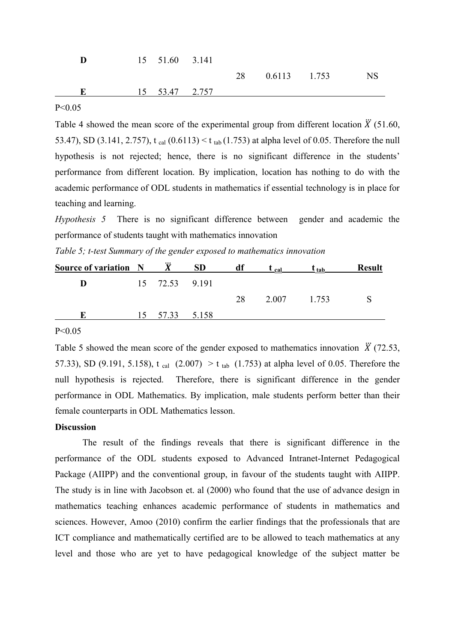|  | 15 51.60 3.141 |    |                |  |
|--|----------------|----|----------------|--|
|  |                | 28 | $0.6113$ 1.753 |  |
|  | 15 53.47 2.757 |    |                |  |

#### $P < 0.05$

Table 4 showed the mean score of the experimental group from different location  $\ddot{X}$  (51.60, 53.47), SD (3.141, 2.757), t cal  $(0.6113) < t$  tab (1.753) at alpha level of 0.05. Therefore the null hypothesis is not rejected; hence, there is no significant difference in the students' performance from different location. By implication, location has nothing to do with the academic performance of ODL students in mathematics if essential technology is in place for teaching and learning.

*Hypothesis 5* There is no significant difference between gender and academic the performance of students taught with mathematics innovation

*Table 5; t-test Summary of the gender exposed to mathematics innovation*

| Source of variation N |                | <b>SD</b> | dt | cal   | $L$ tab | <b>Result</b> |
|-----------------------|----------------|-----------|----|-------|---------|---------------|
| D                     | 15 72.53 9.191 |           |    |       |         |               |
|                       |                |           | 28 | 2.007 | 1 753   |               |
|                       | 57.33          | 5.158     |    |       |         |               |

#### P<0.05

Table 5 showed the mean score of the gender exposed to mathematics innovation  $\ddot{X}$  (72.53, 57.33), SD (9.191, 5.158), t cal  $(2.007) > t$  tab  $(1.753)$  at alpha level of 0.05. Therefore the null hypothesis is rejected. Therefore, there is significant difference in the gender performance in ODL Mathematics. By implication, male students perform better than their female counterparts in ODL Mathematics lesson.

## **Discussion**

The result of the findings reveals that there is significant difference in the performance of the ODL students exposed to Advanced Intranet-Internet Pedagogical Package (AIIPP) and the conventional group, in favour of the students taught with AIIPP. The study is in line with Jacobson et. al (2000) who found that the use of advance design in mathematics teaching enhances academic performance of students in mathematics and sciences. However, Amoo (2010) confirm the earlier findings that the professionals that are ICT compliance and mathematically certified are to be allowed to teach mathematics at any level and those who are yet to have pedagogical knowledge of the subject matter be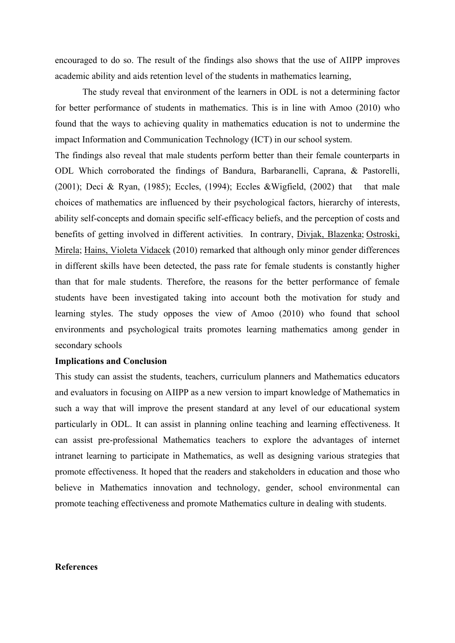encouraged to do so. The result of the findings also shows that the use of AIIPP improves academic ability and aids retention level of the students in mathematics learning,

The study reveal that environment of the learners in ODL is not a determining factor for better performance of students in mathematics. This is in line with Amoo (2010) who found that the ways to achieving quality in mathematics education is not to undermine the impact Information and Communication Technology (ICT) in our school system.

The findings also reveal that male students perform better than their female counterparts in ODL Which corroborated the findings of Bandura, Barbaranelli, Caprana, & Pastorelli, (2001); Deci & Ryan, (1985); Eccles, (1994); Eccles &Wigfield, (2002) that that male choices of mathematics are influenced by their psychological factors, hierarchy of interests, ability self-concepts and domain specific self-efficacy beliefs, and the perception of costs and benefits of getting involved in different activities. In contrary, [Divjak, Blazenka;](http://www.eric.ed.gov/ERICWebPortal/search/simpleSearch.jsp;jsessionid=hgbTNL0zxEnIEgBioQJYTQ__.ericsrv004?_pageLabel=ERICSearchResult&_urlType=action&newSearch=true&ERICExtSearch_SearchType_0=au&ERICExtSearch_SearchValue_0=%22Divjak+Blazenka%22) [Ostroski,](http://www.eric.ed.gov/ERICWebPortal/search/simpleSearch.jsp;jsessionid=hgbTNL0zxEnIEgBioQJYTQ__.ericsrv004?_pageLabel=ERICSearchResult&_urlType=action&newSearch=true&ERICExtSearch_SearchType_0=au&ERICExtSearch_SearchValue_0=%22Ostroski+Mirela%22)  [Mirela;](http://www.eric.ed.gov/ERICWebPortal/search/simpleSearch.jsp;jsessionid=hgbTNL0zxEnIEgBioQJYTQ__.ericsrv004?_pageLabel=ERICSearchResult&_urlType=action&newSearch=true&ERICExtSearch_SearchType_0=au&ERICExtSearch_SearchValue_0=%22Ostroski+Mirela%22) [Hains, Violeta Vidacek](http://www.eric.ed.gov/ERICWebPortal/search/simpleSearch.jsp;jsessionid=hgbTNL0zxEnIEgBioQJYTQ__.ericsrv004?_pageLabel=ERICSearchResult&_urlType=action&newSearch=true&ERICExtSearch_SearchType_0=au&ERICExtSearch_SearchValue_0=%22Hains+Violeta+Vidacek%22) (2010) remarked that although only minor gender differences in different skills have been detected, the pass rate for female students is constantly higher than that for male students. Therefore, the reasons for the better performance of female students have been investigated taking into account both the motivation for study and learning styles. The study opposes the view of Amoo (2010) who found that school environments and psychological traits promotes learning mathematics among gender in secondary schools

## **Implications and Conclusion**

This study can assist the students, teachers, curriculum planners and Mathematics educators and evaluators in focusing on AIIPP as a new version to impart knowledge of Mathematics in such a way that will improve the present standard at any level of our educational system particularly in ODL. It can assist in planning online teaching and learning effectiveness. It can assist pre-professional Mathematics teachers to explore the advantages of internet intranet learning to participate in Mathematics, as well as designing various strategies that promote effectiveness. It hoped that the readers and stakeholders in education and those who believe in Mathematics innovation and technology, gender, school environmental can promote teaching effectiveness and promote Mathematics culture in dealing with students.

# **References**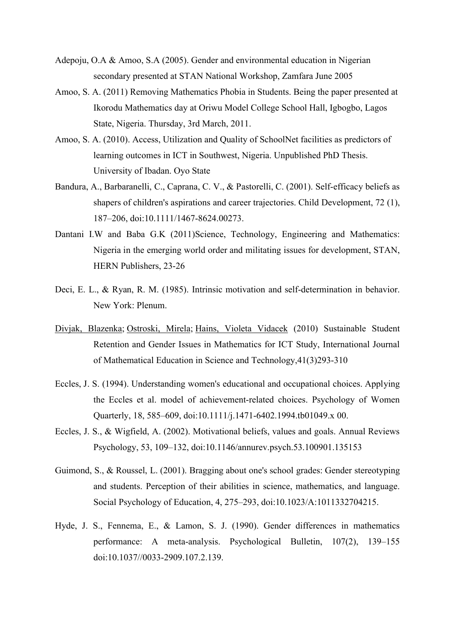- Adepoju, O.A & Amoo, S.A (2005). Gender and environmental education in Nigerian secondary presented at STAN National Workshop, Zamfara June 2005
- Amoo, S. A. (2011) Removing Mathematics Phobia in Students. Being the paper presented at Ikorodu Mathematics day at Oriwu Model College School Hall, Igbogbo, Lagos State, Nigeria. Thursday, 3rd March, 2011.
- Amoo, S. A. (2010). Access, Utilization and Quality of SchoolNet facilities as predictors of learning outcomes in ICT in Southwest, Nigeria. Unpublished PhD Thesis. University of Ibadan. Oyo State
- Bandura, A., Barbaranelli, C., Caprana, C. V., & Pastorelli, C. (2001). Self-efficacy beliefs as shapers of children's aspirations and career trajectories. Child Development, 72 (1), 187–206, doi:10.1111/1467-8624.00273.
- Dantani I.W and Baba G.K (2011)Science, Technology, Engineering and Mathematics: Nigeria in the emerging world order and militating issues for development, STAN, HERN Publishers, 23-26
- Deci, E. L., & Ryan, R. M. (1985). Intrinsic motivation and self-determination in behavior. New York: Plenum.
- [Divjak, Blazenka;](http://www.eric.ed.gov/ERICWebPortal/search/simpleSearch.jsp;jsessionid=hgbTNL0zxEnIEgBioQJYTQ__.ericsrv004?_pageLabel=ERICSearchResult&_urlType=action&newSearch=true&ERICExtSearch_SearchType_0=au&ERICExtSearch_SearchValue_0=%22Divjak+Blazenka%22) [Ostroski, Mirela;](http://www.eric.ed.gov/ERICWebPortal/search/simpleSearch.jsp;jsessionid=hgbTNL0zxEnIEgBioQJYTQ__.ericsrv004?_pageLabel=ERICSearchResult&_urlType=action&newSearch=true&ERICExtSearch_SearchType_0=au&ERICExtSearch_SearchValue_0=%22Ostroski+Mirela%22) [Hains, Violeta Vidacek](http://www.eric.ed.gov/ERICWebPortal/search/simpleSearch.jsp;jsessionid=hgbTNL0zxEnIEgBioQJYTQ__.ericsrv004?_pageLabel=ERICSearchResult&_urlType=action&newSearch=true&ERICExtSearch_SearchType_0=au&ERICExtSearch_SearchValue_0=%22Hains+Violeta+Vidacek%22) (2010) Sustainable Student Retention and Gender Issues in Mathematics for ICT Study, International Journal of Mathematical Education in Science and Technology,41(3)293-310
- Eccles, J. S. (1994). Understanding women's educational and occupational choices. Applying the Eccles et al. model of achievement-related choices. Psychology of Women Quarterly, 18, 585–609, doi:10.1111/j.1471-6402.1994.tb01049.x 00.
- Eccles, J. S., & Wigfield, A. (2002). Motivational beliefs, values and goals. Annual Reviews Psychology, 53, 109–132, doi:10.1146/annurev.psych.53.100901.135153
- Guimond, S., & Roussel, L. (2001). Bragging about one's school grades: Gender stereotyping and students. Perception of their abilities in science, mathematics, and language. Social Psychology of Education, 4, 275–293, doi:10.1023/A:1011332704215.
- Hyde, J. S., Fennema, E., & Lamon, S. J. (1990). Gender differences in mathematics performance: A meta-analysis. Psychological Bulletin, 107(2), 139–155 doi:10.1037//0033-2909.107.2.139.